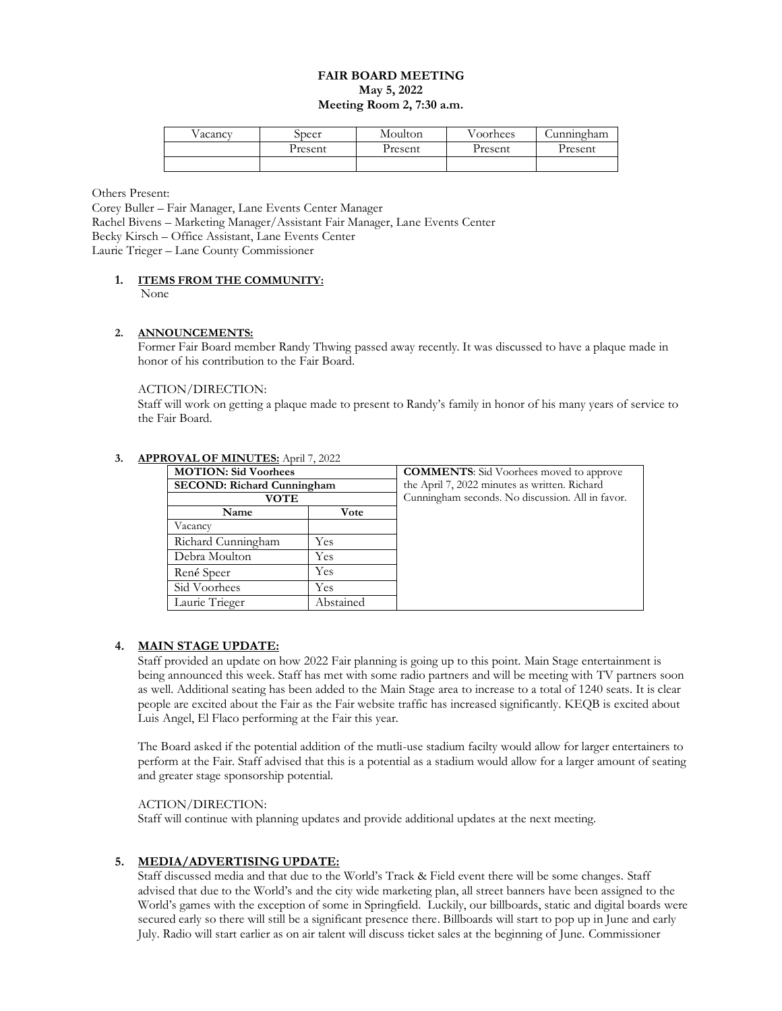#### **FAIR BOARD MEETING May 5, 2022 Meeting Room 2, 7:30 a.m.**

| V acancv | ppeer   | Moulton | Voorhees | Cunningham |
|----------|---------|---------|----------|------------|
|          | Present | Present | Present  | Present    |
|          |         |         |          |            |

Others Present:

Corey Buller – Fair Manager, Lane Events Center Manager Rachel Bivens – Marketing Manager/Assistant Fair Manager, Lane Events Center Becky Kirsch – Office Assistant, Lane Events Center Laurie Trieger – Lane County Commissioner

#### **1. ITEMS FROM THE COMMUNITY:** None

#### **2. ANNOUNCEMENTS:**

Former Fair Board member Randy Thwing passed away recently. It was discussed to have a plaque made in honor of his contribution to the Fair Board.

## ACTION/DIRECTION:

Staff will work on getting a plaque made to present to Randy's family in honor of his many years of service to the Fair Board.

| $\overline{O}$ valid virtualized. April 7, 2022. |           |                                                  |  |  |  |
|--------------------------------------------------|-----------|--------------------------------------------------|--|--|--|
| <b>MOTION:</b> Sid Voorhees                      |           | <b>COMMENTS:</b> Sid Voorhees moved to approve   |  |  |  |
| <b>SECOND: Richard Cunningham</b>                |           | the April 7, 2022 minutes as written. Richard    |  |  |  |
| <b>VOTE</b>                                      |           | Cunningham seconds. No discussion. All in favor. |  |  |  |
| Name                                             | Vote      |                                                  |  |  |  |
| Vacancy                                          |           |                                                  |  |  |  |
| Richard Cunningham                               | Yes       |                                                  |  |  |  |
| Debra Moulton                                    | Yes       |                                                  |  |  |  |
| René Speer                                       | Yes       |                                                  |  |  |  |
| Sid Voorhees                                     | Yes       |                                                  |  |  |  |
| Laurie Trieger                                   | Abstained |                                                  |  |  |  |

# **3. APPROVAL OF MINUTES:** April 7, 2022

## **4. MAIN STAGE UPDATE:**

Staff provided an update on how 2022 Fair planning is going up to this point. Main Stage entertainment is being announced this week. Staff has met with some radio partners and will be meeting with TV partners soon as well. Additional seating has been added to the Main Stage area to increase to a total of 1240 seats. It is clear people are excited about the Fair as the Fair website traffic has increased significantly. KEQB is excited about Luis Angel, El Flaco performing at the Fair this year.

The Board asked if the potential addition of the mutli-use stadium facilty would allow for larger entertainers to perform at the Fair. Staff advised that this is a potential as a stadium would allow for a larger amount of seating and greater stage sponsorship potential.

#### ACTION/DIRECTION:

Staff will continue with planning updates and provide additional updates at the next meeting.

#### **5. MEDIA/ADVERTISING UPDATE:**

Staff discussed media and that due to the World's Track & Field event there will be some changes. Staff advised that due to the World's and the city wide marketing plan, all street banners have been assigned to the World's games with the exception of some in Springfield. Luckily, our billboards, static and digital boards were secured early so there will still be a significant presence there. Billboards will start to pop up in June and early July. Radio will start earlier as on air talent will discuss ticket sales at the beginning of June. Commissioner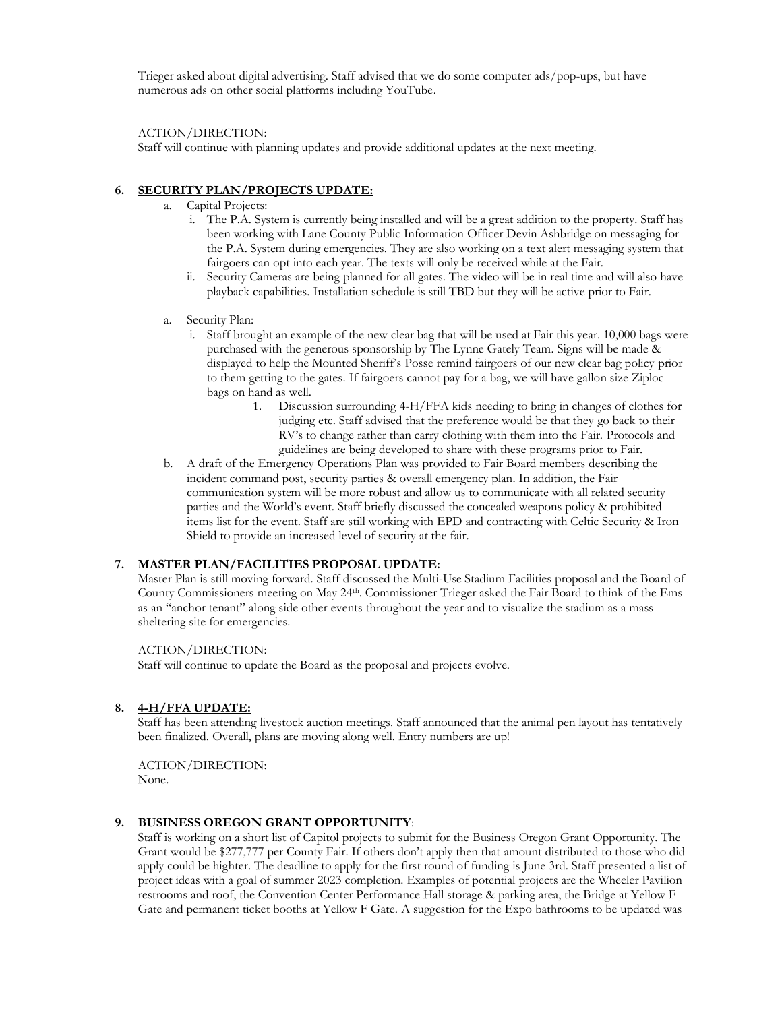Trieger asked about digital advertising. Staff advised that we do some computer ads/pop-ups, but have numerous ads on other social platforms including YouTube.

ACTION/DIRECTION:

Staff will continue with planning updates and provide additional updates at the next meeting.

## **6. SECURITY PLAN/PROJECTS UPDATE:**

- a. Capital Projects:
	- i. The P.A. System is currently being installed and will be a great addition to the property. Staff has been working with Lane County Public Information Officer Devin Ashbridge on messaging for the P.A. System during emergencies. They are also working on a text alert messaging system that fairgoers can opt into each year. The texts will only be received while at the Fair.
	- ii. Security Cameras are being planned for all gates. The video will be in real time and will also have playback capabilities. Installation schedule is still TBD but they will be active prior to Fair.
- a. Security Plan:
	- i. Staff brought an example of the new clear bag that will be used at Fair this year. 10,000 bags were purchased with the generous sponsorship by The Lynne Gately Team. Signs will be made & displayed to help the Mounted Sheriff's Posse remind fairgoers of our new clear bag policy prior to them getting to the gates. If fairgoers cannot pay for a bag, we will have gallon size Ziploc bags on hand as well.
		- 1. Discussion surrounding 4-H/FFA kids needing to bring in changes of clothes for judging etc. Staff advised that the preference would be that they go back to their RV's to change rather than carry clothing with them into the Fair. Protocols and guidelines are being developed to share with these programs prior to Fair.
- b. A draft of the Emergency Operations Plan was provided to Fair Board members describing the incident command post, security parties & overall emergency plan. In addition, the Fair communication system will be more robust and allow us to communicate with all related security parties and the World's event. Staff briefly discussed the concealed weapons policy & prohibited items list for the event. Staff are still working with EPD and contracting with Celtic Security & Iron Shield to provide an increased level of security at the fair.

#### **7. MASTER PLAN/FACILITIES PROPOSAL UPDATE:**

Master Plan is still moving forward. Staff discussed the Multi-Use Stadium Facilities proposal and the Board of County Commissioners meeting on May 24th. Commissioner Trieger asked the Fair Board to think of the Ems as an "anchor tenant" along side other events throughout the year and to visualize the stadium as a mass sheltering site for emergencies.

#### ACTION/DIRECTION:

Staff will continue to update the Board as the proposal and projects evolve.

#### **8. 4-H/FFA UPDATE:**

Staff has been attending livestock auction meetings. Staff announced that the animal pen layout has tentatively been finalized. Overall, plans are moving along well. Entry numbers are up!

ACTION/DIRECTION: None.

#### **9. BUSINESS OREGON GRANT OPPORTUNITY**:

Staff is working on a short list of Capitol projects to submit for the Business Oregon Grant Opportunity. The Grant would be \$277,777 per County Fair. If others don't apply then that amount distributed to those who did apply could be highter. The deadline to apply for the first round of funding is June 3rd. Staff presented a list of project ideas with a goal of summer 2023 completion. Examples of potential projects are the Wheeler Pavilion restrooms and roof, the Convention Center Performance Hall storage & parking area, the Bridge at Yellow F Gate and permanent ticket booths at Yellow F Gate. A suggestion for the Expo bathrooms to be updated was